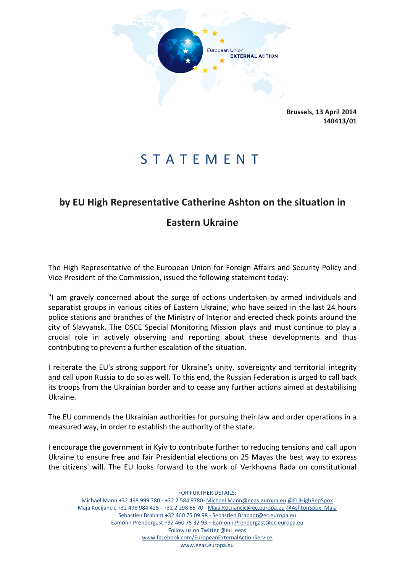

**Brussels, 13 April 2014 140413/01**

## S T A T E M E N T

## **by EU High Representative Catherine Ashton on the situation in**

## **Eastern Ukraine**

The High Representative of the European Union for Foreign Affairs and Security Policy and Vice President of the Commission, issued the following statement today:

"I am gravely concerned about the surge of actions undertaken by armed individuals and separatist groups in various cities of Eastern Ukraine, who have seized in the last 24 hours police stations and branches of the Ministry of Interior and erected check points around the city of Slavyansk. The OSCE Special Monitoring Mission plays and must continue to play a crucial role in actively observing and reporting about these developments and thus contributing to prevent a further escalation of the situation.

I reiterate the EU's strong support for Ukraine's unity, sovereignty and territorial integrity and call upon Russia to do so as well. To this end, the Russian Federation is urged to call back its troops from the Ukrainian border and to cease any further actions aimed at destabilising Ukraine.

The EU commends the Ukrainian authorities for pursuing their law and order operations in a measured way, in order to establish the authority of the state.

I encourage the government in Kyiv to contribute further to reducing tensions and call upon Ukraine to ensure free and fair Presidential elections [on 25 Maya](x-apple-data-detectors://2/)s the best way to express the citizens' will. The EU looks forward to the work of Verkhovna Rada on constitutional

FOR FURTHER DETAILS: Michael Mann +32 498 999 780 - +32 2 584 9780- [Michael.Mann@eeas.europa.eu](file:///C:/Users/lievrde/AppData/Local/Microsoft/Windows/Temporary%20Internet%20Files/Content.Outlook/B3E41T5W/Michael.Mann@eeas.europa.eu) [@EUHighRepSpox](https://twitter.com/EUHighRepSpox) Maja Kocijancic +32 498 984 425 - +32 2 298 65 70 - [Maja.Kocijancic@ec.europa.eu](file:///C:/Users/lievrde/AppData/Local/Microsoft/Windows/Temporary%20Internet%20Files/Content.Outlook/B3E41T5W/Maja.Kocijancic@ec.europa.eu) [@AshtonSpox\\_Maja](https://twitter.com/AshtonSpox_Maja) Sebastien Brabant +32 460 75 09 98 - [Sebastien.Brabant@ec.europa.eu](file:///C:/Users/lievrde/AppData/Local/Microsoft/Windows/Temporary%20Internet%20Files/Content.Outlook/B3E41T5W/Sebastien.Brabant@ec.europa.eu) Eamonn Prendergast +32 460 75 32 93 – [Eamonn.Prendergast@ec.europa.eu](mailto:Eamonn.Prendergast@ec.europa.eu) Follow us on Twitter [@eu\\_eeas](https://twitter.com/eu_eeas) [www.facebook.com/EuropeanExternalActionService](http://www.facebook.com/EuropeanExternalActionService) [www.eeas.europa.eu](file:///C:/Users/lievrde/AppData/Local/Microsoft/Windows/Temporary%20Internet%20Files/Content.Outlook/B3E41T5W/www.eeas.europa.eu)